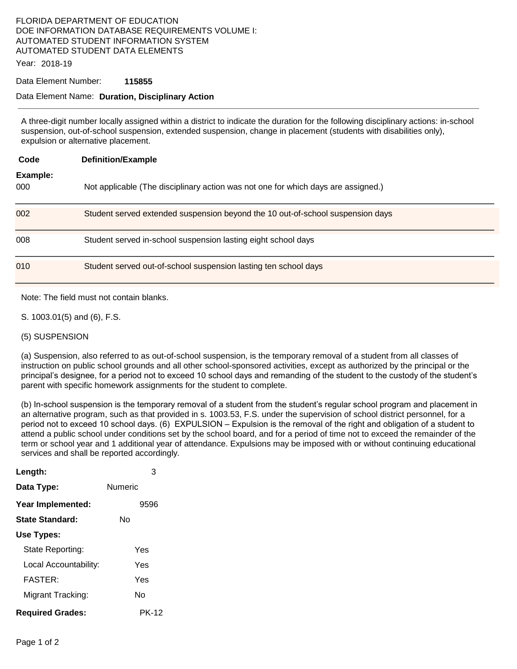## FLORIDA DEPARTMENT OF EDUCATION DOE INFORMATION DATABASE REQUIREMENTS VOLUME I: AUTOMATED STUDENT INFORMATION SYSTEM AUTOMATED STUDENT DATA ELEMENTS

Year: 2018-19

#### Data Element Number: **115855**

### Data Element Name: **Duration, Disciplinary Action**

A three-digit number locally assigned within a district to indicate the duration for the following disciplinary actions: in-school suspension, out-of-school suspension, extended suspension, change in placement (students with disabilities only), expulsion or alternative placement.

| Code            | <b>Definition/Example</b>                                                         |
|-----------------|-----------------------------------------------------------------------------------|
| Example:<br>000 | Not applicable (The disciplinary action was not one for which days are assigned.) |
| 002             | Student served extended suspension beyond the 10 out-of-school suspension days    |
| 008             | Student served in-school suspension lasting eight school days                     |
| 010             | Student served out-of-school suspension lasting ten school days                   |

Note: The field must not contain blanks.

- S. 1003.01(5) and (6), F.S.
- (5) SUSPENSION

(a) Suspension, also referred to as out-of-school suspension, is the temporary removal of a student from all classes of instruction on public school grounds and all other school-sponsored activities, except as authorized by the principal or the principal's designee, for a period not to exceed 10 school days and remanding of the student to the custody of the student's parent with specific homework assignments for the student to complete.

(b) In-school suspension is the temporary removal of a student from the student's regular school program and placement in an alternative program, such as that provided in s. 1003.53, F.S. under the supervision of school district personnel, for a period not to exceed 10 school days. (6) EXPULSION – Expulsion is the removal of the right and obligation of a student to attend a public school under conditions set by the school board, and for a period of time not to exceed the remainder of the term or school year and 1 additional year of attendance. Expulsions may be imposed with or without continuing educational services and shall be reported accordingly.

| Length:                 | 3              |
|-------------------------|----------------|
| Data Type:              | <b>Numeric</b> |
| Year Implemented:       | 9596           |
| State Standard:         | N٥             |
| Use Types:              |                |
| State Reporting:        | Yes            |
| Local Accountability:   | Yes            |
| <b>FASTER:</b>          | Yes            |
| Migrant Tracking:       | N٥             |
| <b>Required Grades:</b> | <b>PK-12</b>   |